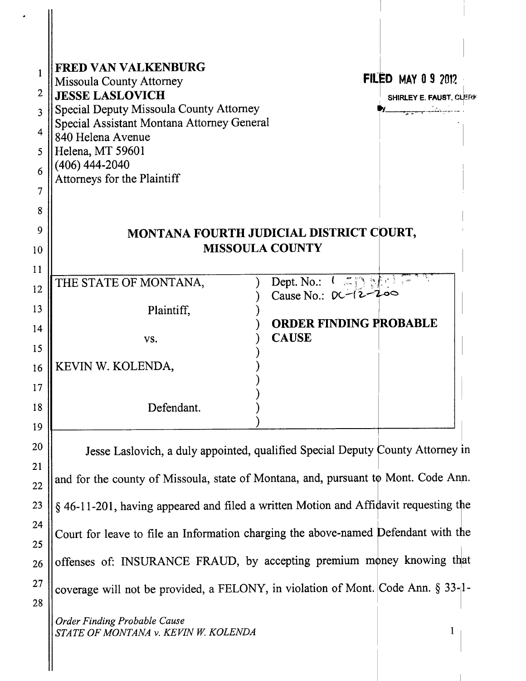| <b>FRED VAN VALKENBURG</b>                                | <b>FILED MAY 0 9 2012</b>                                                                                                                                                                                                                              |
|-----------------------------------------------------------|--------------------------------------------------------------------------------------------------------------------------------------------------------------------------------------------------------------------------------------------------------|
| <b>Missoula County Attorney</b><br><b>JESSE LASLOVICH</b> |                                                                                                                                                                                                                                                        |
| Special Deputy Missoula County Attorney                   | <b>SHIRLEY E. FAUST, CLERK</b><br><del>egyese váltal</del> ma                                                                                                                                                                                          |
| Special Assistant Montana Attorney General                |                                                                                                                                                                                                                                                        |
| 840 Helena Avenue                                         |                                                                                                                                                                                                                                                        |
| Helena, MT 59601<br>$(406)$ 444-2040                      |                                                                                                                                                                                                                                                        |
| Attorneys for the Plaintiff                               |                                                                                                                                                                                                                                                        |
|                                                           |                                                                                                                                                                                                                                                        |
|                                                           |                                                                                                                                                                                                                                                        |
|                                                           | MONTANA FOURTH JUDICIAL DISTRICT COURT,                                                                                                                                                                                                                |
|                                                           | <b>MISSOULA COUNTY</b>                                                                                                                                                                                                                                 |
|                                                           |                                                                                                                                                                                                                                                        |
| THE STATE OF MONTANA,                                     | Dept. No.: $\left\{ \begin{array}{c} \begin{array}{c} \begin{array}{c} \begin{array}{c} \begin{array}{c} \end{array}\\ \end{array} \end{array} \end{array} \right\} \begin{array}{c} \begin{array}{c} \end{array} \end{array} \end{array} \end{array}$ |
|                                                           | Cause No.: $DC-(2-200)$                                                                                                                                                                                                                                |
| Plaintiff,                                                | <b>ORDER FINDING PROBABLE</b>                                                                                                                                                                                                                          |
| VS.                                                       | <b>CAUSE</b>                                                                                                                                                                                                                                           |
|                                                           |                                                                                                                                                                                                                                                        |
| KEVIN W. KOLENDA,                                         |                                                                                                                                                                                                                                                        |
|                                                           |                                                                                                                                                                                                                                                        |
| Defendant.                                                |                                                                                                                                                                                                                                                        |
|                                                           |                                                                                                                                                                                                                                                        |
|                                                           |                                                                                                                                                                                                                                                        |
|                                                           | Jesse Laslovich, a duly appointed, qualified Special Deputy County Attorney in                                                                                                                                                                         |
|                                                           | and for the county of Missoula, state of Montana, and, pursuant to Mont. Code Ann.                                                                                                                                                                     |
|                                                           |                                                                                                                                                                                                                                                        |

§ 46-11-201, having appeared and filed a written Motion and Affidavit requesting the Court for leave to file an Information charging the above-named Defendant with the offenses of: INSURANCE FRAUD, by accepting premium money knowing that coverage will not be provided, a FELONY, in violation of Mont. Code Ann. § 33-1-

Order Finding Probable Cause STATE OF MONTANA v. KEVIN W. KOLENDA

23

24

25

26

27

28